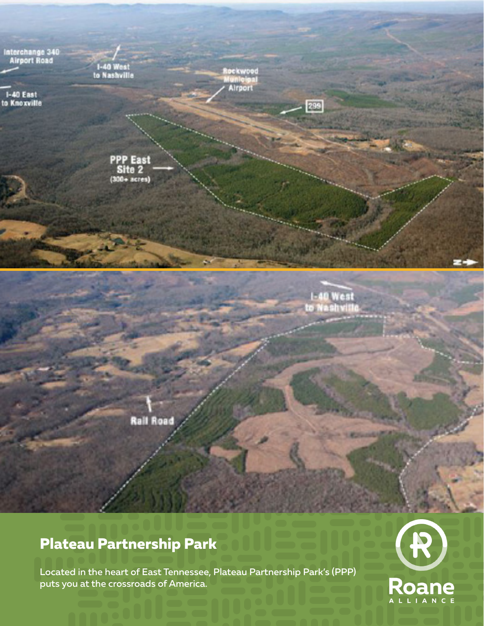

## **Plateau Partnership Park**

Located in the heart of East Tennessee, Plateau Partnership Park's (PPP) puts you at the crossroads of America.